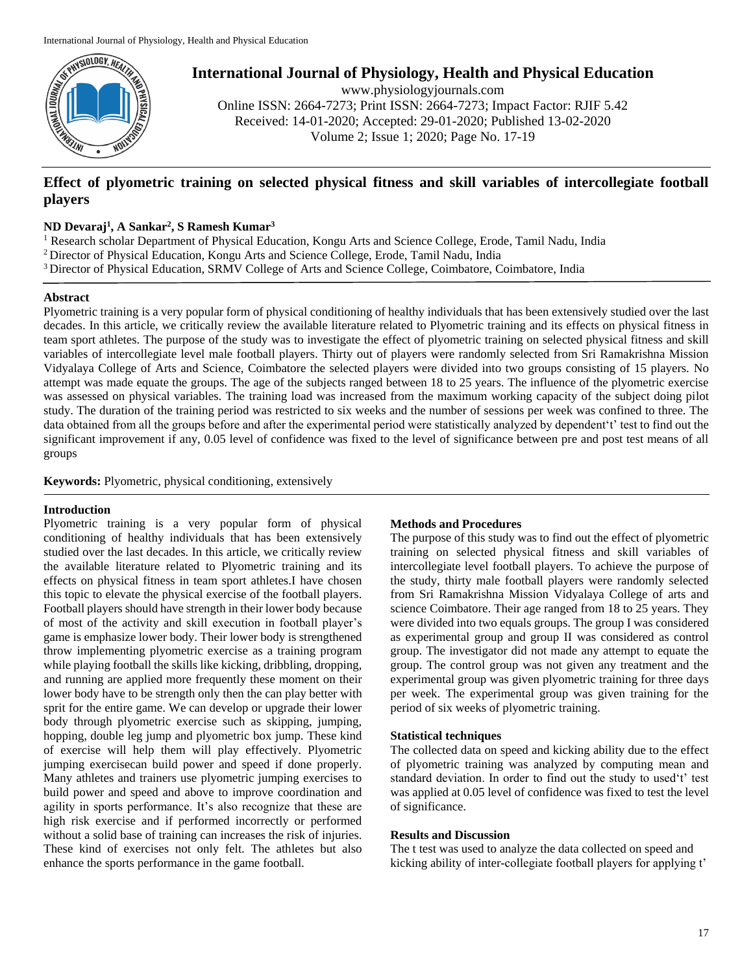

**International Journal of Physiology, Health and Physical Education**

www.physiologyjournals.com Online ISSN: 2664-7273; Print ISSN: 2664-7273; Impact Factor: RJIF 5.42 Received: 14-01-2020; Accepted: 29-01-2020; Published 13-02-2020 Volume 2; Issue 1; 2020; Page No. 17-19

# **Effect of plyometric training on selected physical fitness and skill variables of intercollegiate football players**

## **ND Devaraj<sup>1</sup> , A Sankar<sup>2</sup> , S Ramesh Kumar<sup>3</sup>**

<sup>1</sup> Research scholar Department of Physical Education, Kongu Arts and Science College, Erode, Tamil Nadu, India <sup>2</sup> Director of Physical Education, Kongu Arts and Science College, Erode, Tamil Nadu, India <sup>3</sup> Director of Physical Education, SRMV College of Arts and Science College, Coimbatore, Coimbatore, India

# **Abstract**

Plyometric training is a very popular form of physical conditioning of healthy individuals that has been extensively studied over the last decades. In this article, we critically review the available literature related to Plyometric training and its effects on physical fitness in team sport athletes. The purpose of the study was to investigate the effect of plyometric training on selected physical fitness and skill variables of intercollegiate level male football players. Thirty out of players were randomly selected from Sri Ramakrishna Mission Vidyalaya College of Arts and Science, Coimbatore the selected players were divided into two groups consisting of 15 players. No attempt was made equate the groups. The age of the subjects ranged between 18 to 25 years. The influence of the plyometric exercise was assessed on physical variables. The training load was increased from the maximum working capacity of the subject doing pilot study. The duration of the training period was restricted to six weeks and the number of sessions per week was confined to three. The data obtained from all the groups before and after the experimental period were statistically analyzed by dependent't' test to find out the significant improvement if any, 0.05 level of confidence was fixed to the level of significance between pre and post test means of all groups

**Keywords:** Plyometric, physical conditioning, extensively

### **Introduction**

Plyometric training is a very popular form of physical conditioning of healthy individuals that has been extensively studied over the last decades. In this article, we critically review the available literature related to Plyometric training and its effects on physical fitness in team sport athletes.I have chosen this topic to elevate the physical exercise of the football players. Football players should have strength in their lower body because of most of the activity and skill execution in football player's game is emphasize lower body. Their lower body is strengthened throw implementing plyometric exercise as a training program while playing football the skills like kicking, dribbling, dropping, and running are applied more frequently these moment on their lower body have to be strength only then the can play better with sprit for the entire game. We can develop or upgrade their lower body through plyometric exercise such as skipping, jumping, hopping, double leg jump and plyometric box jump. These kind of exercise will help them will play effectively. Plyometric jumping exercisecan build power and speed if done properly. Many athletes and trainers use plyometric jumping exercises to build power and speed and above to improve coordination and agility in sports performance. It's also recognize that these are high risk exercise and if performed incorrectly or performed without a solid base of training can increases the risk of injuries. These kind of exercises not only felt. The athletes but also enhance the sports performance in the game football.

### **Methods and Procedures**

The purpose of this study was to find out the effect of plyometric training on selected physical fitness and skill variables of intercollegiate level football players. To achieve the purpose of the study, thirty male football players were randomly selected from Sri Ramakrishna Mission Vidyalaya College of arts and science Coimbatore. Their age ranged from 18 to 25 years. They were divided into two equals groups. The group I was considered as experimental group and group II was considered as control group. The investigator did not made any attempt to equate the group. The control group was not given any treatment and the experimental group was given plyometric training for three days per week. The experimental group was given training for the period of six weeks of plyometric training.

### **Statistical techniques**

The collected data on speed and kicking ability due to the effect of plyometric training was analyzed by computing mean and standard deviation. In order to find out the study to used't' test was applied at 0.05 level of confidence was fixed to test the level of significance.

#### **Results and Discussion**

The t test was used to analyze the data collected on speed and kicking ability of inter-collegiate football players for applying t'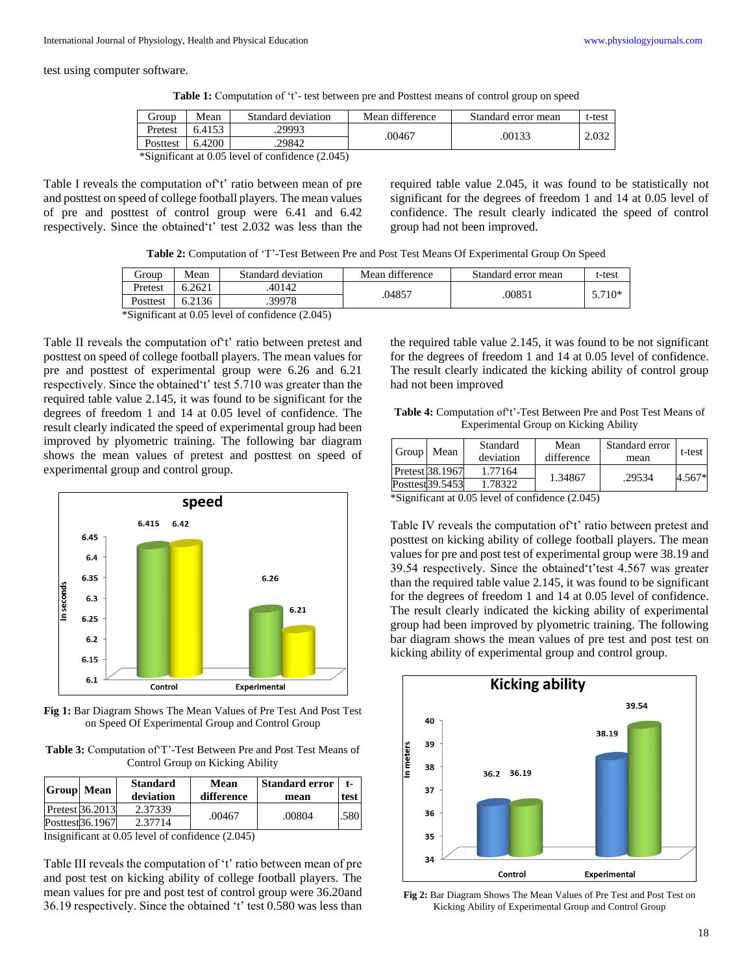test using computer software.

**Table 1:** Computation of 't'- test between pre and Posttest means of control group on speed

| Group                                            | Mean   | Standard deviation | Mean difference | Standard error mean | t-test |  |  |  |
|--------------------------------------------------|--------|--------------------|-----------------|---------------------|--------|--|--|--|
| Pretest                                          | 6.4153 | .29993             | .00467          | .00133              | 2.032  |  |  |  |
| Posttest                                         | 6.4200 | 29842              |                 |                     |        |  |  |  |
| *Significant at 0.05 level of confidence (2.045) |        |                    |                 |                     |        |  |  |  |

Table I reveals the computation of't' ratio between mean of pre and posttest on speed of college football players. The mean values of pre and posttest of control group were 6.41 and 6.42 respectively. Since the obtained't' test 2.032 was less than the required table value 2.045, it was found to be statistically not significant for the degrees of freedom 1 and 14 at 0.05 level of confidence. The result clearly indicated the speed of control group had not been improved.

**Table 2:** Computation of 'T'-Test Between Pre and Post Test Means Of Experimental Group On Speed

| Group    | Mean   | Standard deviation                               | Mean difference | Standard error mean | t-test   |
|----------|--------|--------------------------------------------------|-----------------|---------------------|----------|
| Pretest  | 6.2621 | .40142                                           | .04857          | .00851              | $5.710*$ |
| Posttest | 6.2136 | .39978                                           |                 |                     |          |
|          |        | *Significant at 0.05 level of confidence (2.045) |                 |                     |          |

Table II reveals the computation of't' ratio between pretest and posttest on speed of college football players. The mean values for pre and posttest of experimental group were 6.26 and 6.21 respectively. Since the obtained't' test 5.710 was greater than the required table value 2.145, it was found to be significant for the degrees of freedom 1 and 14 at 0.05 level of confidence. The result clearly indicated the speed of experimental group had been improved by plyometric training. The following bar diagram shows the mean values of pretest and posttest on speed of

experimental group and control group.



**Fig 1:** Bar Diagram Shows The Mean Values of Pre Test And Post Test on Speed Of Experimental Group and Control Group

**Table 3:** Computation of'T'-Test Between Pre and Post Test Means of Control Group on Kicking Ability

| Pretest 36.2013                        | <b>Group</b> Mean | <b>Standard</b><br>deviation | Mean<br>difference | <b>Standard error</b><br>mean | t-<br>test |
|----------------------------------------|-------------------|------------------------------|--------------------|-------------------------------|------------|
| .00467<br>.00804                       |                   | 2.37339                      |                    |                               | .580       |
| Posttest <sub>36.1967</sub><br>2.37714 |                   |                              |                    |                               |            |

Insignificant at 0.05 level of confidence (2.045)

Table III reveals the computation of 't' ratio between mean of pre and post test on kicking ability of college football players. The mean values for pre and post test of control group were 36.20and 36.19 respectively. Since the obtained 't' test 0.580 was less than the required table value 2.145, it was found to be not significant for the degrees of freedom 1 and 14 at 0.05 level of confidence. The result clearly indicated the kicking ability of control group had not been improved

**Table 4:** Computation of't'-Test Between Pre and Post Test Means of Experimental Group on Kicking Ability

| Group Mean |                  | Standard  | Mean       | Standard error | t-test |
|------------|------------------|-----------|------------|----------------|--------|
|            |                  | deviation | difference | mean           |        |
|            | Pretest 38.1967  | 1.77164   | 1.34867    | .29534         | 4.567* |
|            | Posttest 39.5453 | 1.78322   |            |                |        |

\*Significant at 0.05 level of confidence (2.045)

Table IV reveals the computation of't' ratio between pretest and posttest on kicking ability of college football players. The mean values for pre and post test of experimental group were 38.19 and 39.54 respectively. Since the obtained't'test 4.567 was greater than the required table value 2.145, it was found to be significant for the degrees of freedom 1 and 14 at 0.05 level of confidence. The result clearly indicated the kicking ability of experimental group had been improved by plyometric training. The following bar diagram shows the mean values of pre test and post test on kicking ability of experimental group and control group.



**Fig 2:** Bar Diagram Shows The Mean Values of Pre Test and Post Test on Kicking Ability of Experimental Group and Control Group